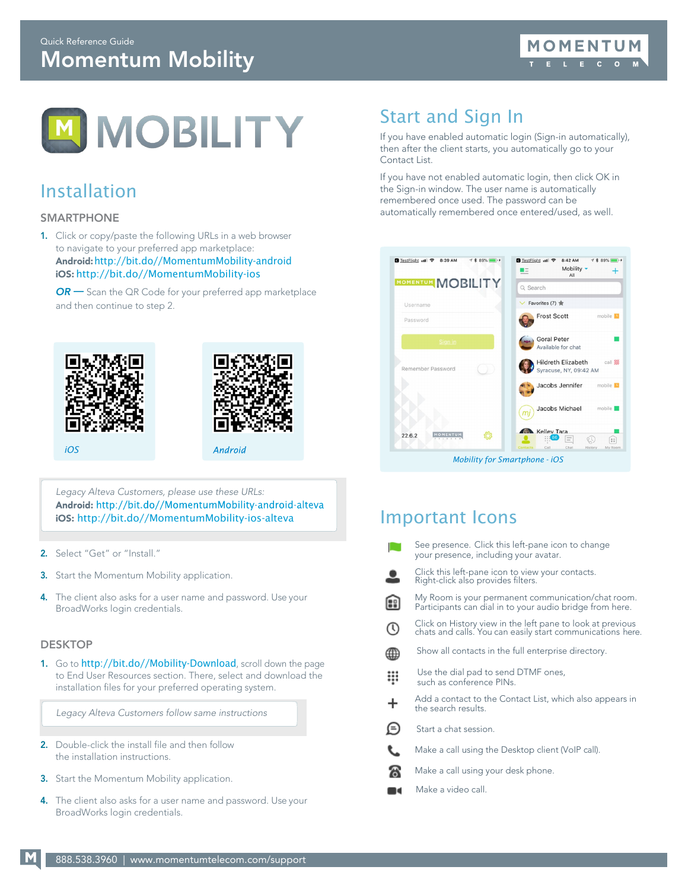

## Installation

### SMARTPHONE

1. Click or copy/paste the following URLs in a web browser to navigate to your preferred app marketplace: Android:[http://bit.do//MomentumMobility-android](http://bit.do/MomentumMobility-android) iOS: [http://bit.do//MomentumMobility-ios](http://bit.do/MomentumMobility-ios)

*OR —* Scan the QR Code for your preferred app marketplace and then continue to step 2.





*iOS*

*Legacy Alteva Customers, please use these URLs:* Android: http://bit.do//MomentumMobility-android-alteva iOS: [http://bit.do//MomentumMobility-ios-alteva](http://bit.do/MomentumMobility-ios-alteva)

- 2. Select "Get" or "Install."
- 3. Start the Momentum Mobility application.
- 4. The client also asks for a user name and password. Use your BroadWorks login credentials.

### **DESKTOP**

1. Go to [http://bit.do//Mobility-Download](http://bit.do/Mobility-Download), scroll down the page to End User Resources section. There, select and download the installation files for your preferred operating system.

*Legacy Alteva Customers follow same instructions*

- 2. Double-click the install file and then follow the installation instructions.
- 3. Start the Momentum Mobility application.
- 4. The client also asks for a user name and password. Use your BroadWorks login credentials.

# Start and Sign In

If you have enabled automatic login (Sign-in automatically), then after the client starts, you automatically go to your Contact List.

If you have not enabled automatic login, then click OK in the Sign-in window. The user name is automatically remembered once used. The password can be automatically remembered once entered/used, as well.



### Important Icons